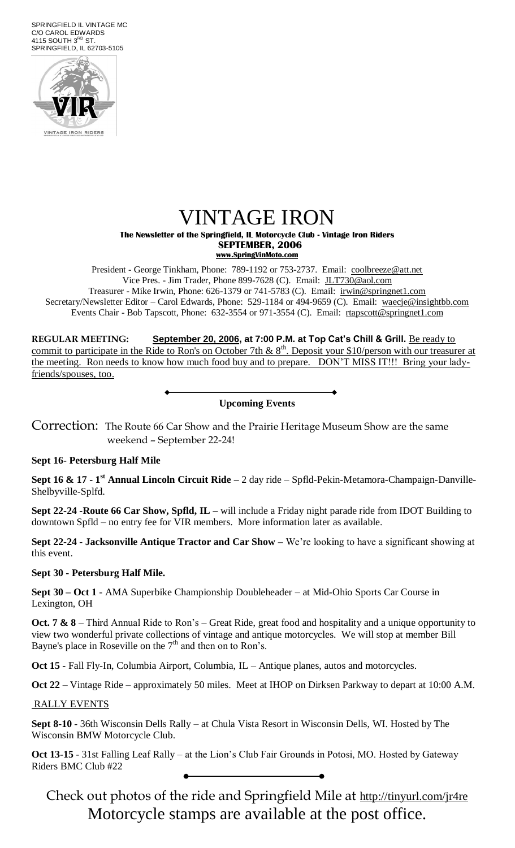SPRINGFIELD IL VINTAGE MC C/O CAROL EDWARDS  $4115$  SOUTH  $3<sup>RD</sup>$  ST. SPRINGFIELD, IL 62703-5105



# VINTAGE IRON

**The Newsletter of the Springfield, IL Motorcycle Club - Vintage Iron Riders SEPTEMBER, 2006 www.SpringVinMoto.com**

President - George Tinkham, Phone: 789-1192 or 753-2737. Email: [coolbreeze@att.net](mailto:coolbreeze@att.net) Vice Pres. - Jim Trader, Phone 899-7628 (C). Email: [JLT730@aol.com](mailto:JLT730@aol.com) Treasurer - Mike Irwin, Phone: 626-1379 or 741-5783 (C). Email: irwin@springnet1.com Secretary/Newsletter Editor – Carol Edwards, Phone: 529-1184 or 494-9659 (C). Email: waecje@insightbb.com Events Chair - Bob Tapscott, Phone: 632-3554 or 971-3554 (C). Email: [rtapscott@springnet1.com](mailto:rtapscott@springnet1.com)

**REGULAR MEETING: September 20, 2006, at 7:00 P.M. at Top Cat's Chill & Grill.** Be ready to commit to participate in the Ride to Ron's on October 7th &  $8<sup>th</sup>$ . Deposit your \$10/person with our treasurer at the meeting. Ron needs to know how much food buy and to prepare. DON'T MISS IT!!! Bring your ladyfriends/spouses, too.

**Upcoming Events**

Correction: The Route 66 Car Show and the Prairie Heritage Museum Show are the same weekend – September 22-24!

#### **Sept 16- Petersburg Half Mile**

**Sept 16 & 17 - 1 st Annual Lincoln Circuit Ride –** 2 day ride – Spfld-Pekin-Metamora-Champaign-Danville-Shelbyville-Splfd.

**Sept 22-24 -Route 66 Car Show, Spfld, IL –** will include a Friday night parade ride from IDOT Building to downtown Spfld – no entry fee for VIR members. More information later as available.

**Sept 22-24 - Jacksonville Antique Tractor and Car Show –** We're looking to have a significant showing at this event.

#### **Sept 30 - Petersburg Half Mile.**

**Sept 30 – Oct 1** - AMA Superbike Championship Doubleheader – at Mid-Ohio Sports Car Course in Lexington, OH

**Oct. 7 & 8** – Third Annual Ride to Ron's – Great Ride, great food and hospitality and a unique opportunity to view two wonderful private collections of vintage and antique motorcycles. We will stop at member Bill Bayne's place in Roseville on the  $7<sup>th</sup>$  and then on to Ron's.

**Oct 15 -** Fall Fly-In, Columbia Airport, Columbia, IL – Antique planes, autos and motorcycles.

**Oct 22** – Vintage Ride – approximately 50 miles. Meet at IHOP on Dirksen Parkway to depart at 10:00 A.M.

RALLY EVENTS

**Sept 8-10** - 36th Wisconsin Dells Rally – at Chula Vista Resort in Wisconsin Dells, WI. Hosted by The Wisconsin BMW Motorcycle Club.

**Oct 13-15** - 31st Falling Leaf Rally – at the Lion's Club Fair Grounds in Potosi, MO. Hosted by Gateway Riders BMC Club #22

Check out photos of the ride and Springfield Mile at <http://tinyurl.com/jr4re> Motorcycle stamps are available at the post office.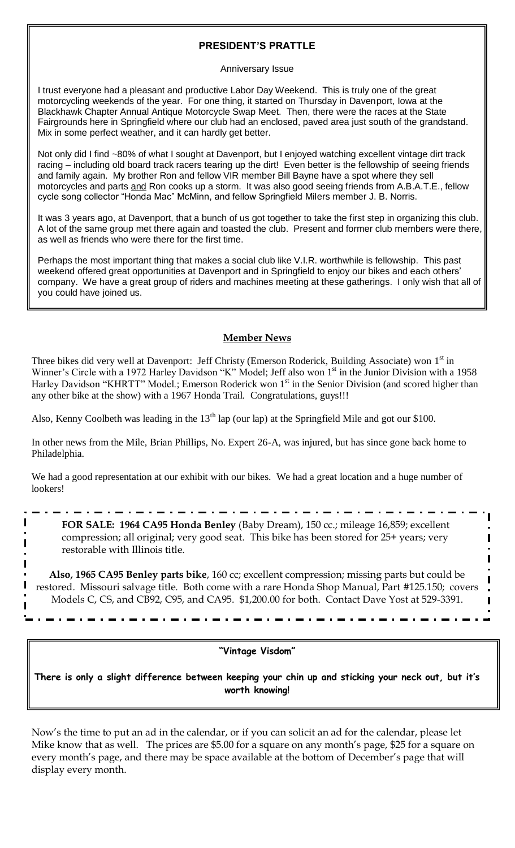## **PRESIDENT'S PRATTLE**

#### Anniversary Issue

I trust everyone had a pleasant and productive Labor Day Weekend. This is truly one of the great motorcycling weekends of the year. For one thing, it started on Thursday in Davenport, Iowa at the Blackhawk Chapter Annual Antique Motorcycle Swap Meet. Then, there were the races at the State Fairgrounds here in Springfield where our club had an enclosed, paved area just south of the grandstand. Mix in some perfect weather, and it can hardly get better.

Not only did I find ~80% of what I sought at Davenport, but I enjoyed watching excellent vintage dirt track racing – including old board track racers tearing up the dirt! Even better is the fellowship of seeing friends and family again. My brother Ron and fellow VIR member Bill Bayne have a spot where they sell motorcycles and parts and Ron cooks up a storm. It was also good seeing friends from A.B.A.T.E., fellow cycle song collector "Honda Mac" McMinn, and fellow Springfield Milers member J. B. Norris.

It was 3 years ago, at Davenport, that a bunch of us got together to take the first step in organizing this club. A lot of the same group met there again and toasted the club. Present and former club members were there, as well as friends who were there for the first time.

Perhaps the most important thing that makes a social club like V.I.R. worthwhile is fellowship. This past weekend offered great opportunities at Davenport and in Springfield to enjoy our bikes and each others' company. We have a great group of riders and machines meeting at these gatherings. I only wish that all of you could have joined us.

# **Member News**

Three bikes did very well at Davenport: Jeff Christy (Emerson Roderick, Building Associate) won 1<sup>st</sup> in Winner's Circle with a 1972 Harley Davidson "K" Model; Jeff also won 1<sup>st</sup> in the Junior Division with a 1958 Harley Davidson "KHRTT" Model.; Emerson Roderick won 1<sup>st</sup> in the Senior Division (and scored higher than any other bike at the show) with a 1967 Honda Trail. Congratulations, guys!!!

Also, Kenny Coolbeth was leading in the  $13<sup>th</sup>$  lap (our lap) at the Springfield Mile and got our \$100.

In other news from the Mile, Brian Phillips, No. Expert 26-A, was injured, but has since gone back home to Philadelphia.

We had a good representation at our exhibit with our bikes. We had a great location and a huge number of lookers!

**FOR SALE: 1964 CA95 Honda Benley** (Baby Dream), 150 cc.; mileage 16,859; excellent compression; all original; very good seat. This bike has been stored for 25+ years; very restorable with Illinois title.

ı

I

 $\blacksquare$ 

**Also, 1965 CA95 Benley parts bike**, 160 cc; excellent compression; missing parts but could be restored. Missouri salvage title. Both come with a rare Honda Shop Manual, Part #125.150; covers Models C, CS, and CB92, C95, and CA95. \$1,200.00 for both. Contact Dave Yost at 529-3391.

## **"Vintage Visdom"**

**There is only a slight difference between keeping your chin up and sticking your neck out, but it's worth knowing!**

Now's the time to put an ad in the calendar, or if you can solicit an ad for the calendar, please let Mike know that as well. The prices are \$5.00 for a square on any month's page, \$25 for a square on every month's page, and there may be space available at the bottom of December's page that will display every month.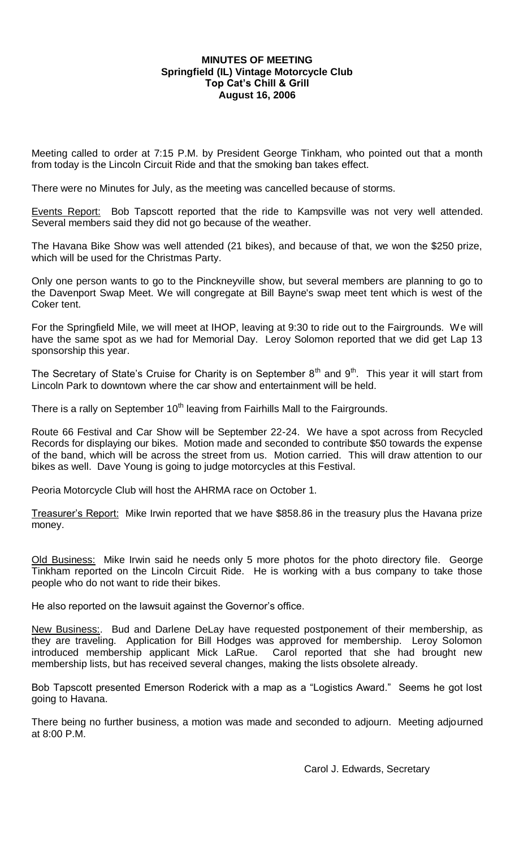### **MINUTES OF MEETING Springfield (IL) Vintage Motorcycle Club Top Cat's Chill & Grill August 16, 2006**

Meeting called to order at 7:15 P.M. by President George Tinkham, who pointed out that a month from today is the Lincoln Circuit Ride and that the smoking ban takes effect.

There were no Minutes for July, as the meeting was cancelled because of storms.

Events Report: Bob Tapscott reported that the ride to Kampsville was not very well attended. Several members said they did not go because of the weather.

The Havana Bike Show was well attended (21 bikes), and because of that, we won the \$250 prize, which will be used for the Christmas Party.

Only one person wants to go to the Pinckneyville show, but several members are planning to go to the Davenport Swap Meet. We will congregate at Bill Bayne's swap meet tent which is west of the Coker tent.

For the Springfield Mile, we will meet at IHOP, leaving at 9:30 to ride out to the Fairgrounds. We will have the same spot as we had for Memorial Day. Leroy Solomon reported that we did get Lap 13 sponsorship this year.

The Secretary of State's Cruise for Charity is on September  $8<sup>th</sup>$  and  $9<sup>th</sup>$ . This year it will start from Lincoln Park to downtown where the car show and entertainment will be held.

There is a rally on September  $10<sup>th</sup>$  leaving from Fairhills Mall to the Fairgrounds.

Route 66 Festival and Car Show will be September 22-24. We have a spot across from Recycled Records for displaying our bikes. Motion made and seconded to contribute \$50 towards the expense of the band, which will be across the street from us. Motion carried. This will draw attention to our bikes as well. Dave Young is going to judge motorcycles at this Festival.

Peoria Motorcycle Club will host the AHRMA race on October 1.

Treasurer's Report: Mike Irwin reported that we have \$858.86 in the treasury plus the Havana prize money.

Old Business: Mike Irwin said he needs only 5 more photos for the photo directory file. George Tinkham reported on the Lincoln Circuit Ride. He is working with a bus company to take those people who do not want to ride their bikes.

He also reported on the lawsuit against the Governor's office.

New Business:. Bud and Darlene DeLay have requested postponement of their membership, as they are traveling. Application for Bill Hodges was approved for membership. Leroy Solomon introduced membership applicant Mick LaRue. Carol reported that she had brought new membership lists, but has received several changes, making the lists obsolete already.

Bob Tapscott presented Emerson Roderick with a map as a "Logistics Award." Seems he got lost going to Havana.

There being no further business, a motion was made and seconded to adjourn. Meeting adjourned at 8:00 P.M.

Carol J. Edwards, Secretary